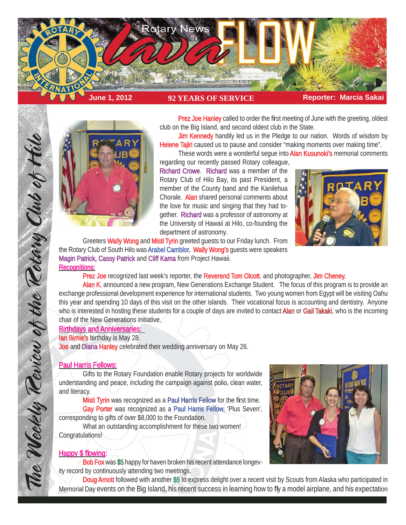



Prez Joe Hanley called to order the first meeting of June with the greeting, oldest club on the Big Island, and second oldest club in the State.

**Jim Kennedy** handily led us in the Pledge to our nation. Words of wisdom by Helene Tajiri caused us to pause and consider "making moments over making time".

These words were a wonderful seque into **Alan Kusunoki's** memorial comments

regarding our recently passed Rotary colleague, Richard Crowe. Richard was a member of the Rotary Club of Hilo Bay, its past President, a member of the County band and the Kanilehua Chorale. Alan shared personal comments about the love for music and singing that they had together. Richard was a professor of astronomy at the University of Hawaii at Hilo, co-founding the department of astronomy.



Greeters Wally Wong and Misti Tyrin greeted quests to our Friday lunch. From the Rotary Club of South Hilo was Arabel Camblor. Wally Wong's quests were speakers Magin Patrick, Cassy Patrick and Cliff Kama from Project Hawaii. **Recognitions:** 

Prez Joe recognized last week's reporter, the Reverend Tom Olcott, and photographer, Jim Cheney.

Alan K. announced a new program, New Generations Exchange Student. The focus of this program is to provide an exchange professional development experience for international students. Two young women from Egypt will be visiting Oahu this year and spending 10 days of this visit on the other islands. Their vocational focus is accounting and dentistry. Anyone who is interested in hosting these students for a couple of days are invited to contact **Alan or Gail Takaki**, who is the incoming chair of the New Generations initiative.

## Birthdays and Anniversaries:

lan Birnie's birthday is May 28.

Joe and Diana Hanley celebrated their wedding anniversary on May 26.

### **Paul Harris Fellows:**

The Weekly Teview of the Tetary Club of Hilo

 Gifts to the Rotary Foundation enable Rotary projects for worldwide understanding and peace, including the campaign against polio, clean water, and literacy.

Misti Tyrin was recognized as a Paul Harris Fellow for the first time. Gay Porter was recognized as a Paul Harris Fellow, 'Plus Seven', corresponding to gifts of over \$8,000 to the Foundation.

 What an outstanding accomplishment for these two women! Congratulations!

# Happy \$ flowing:

Bob Fox was \$5 happy for haven broken his recent attendance longevity record by continuously attending two meetings.



Doug Arnott followed with another \$5 to express delight over a recent visit by Scouts from Alaska who participated in Memorial Day events on the Big Island, his recent success in learning how to fly a model airplane, and his expectation